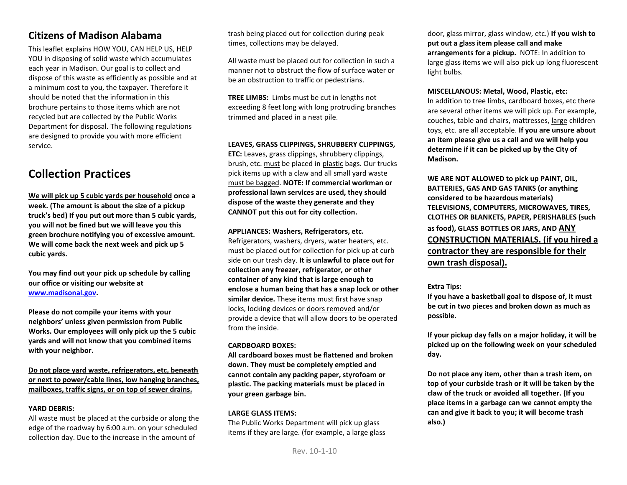## **Citizens of Madison Alabama**

This leaflet explains HOW YOU, CAN HELP US, HELP YOU in disposing of solid waste which accumulates each year in Madison. Our goal is to collect and dispose of this waste as efficiently as possible and at a minimum cost to you, the taxpayer. Therefore it should be noted that the information in this brochure pertains to those items which are not recycled but are collected by the Public Works Department for disposal. The following regulations are designed to provide you with more efficient service.

## **Collection Practices**

**We will pick up 5 cubic yards per household once a week. (The amount is about the size of a pickup truck's bed) If you put out more than 5 cubic yards, you will not be fined but we will leave you this green brochure notifying you of excessive amount. We will come back the next week and pick up 5 cubic yards.** 

**You may find out your pick up schedule by calling our office or visiting our website at [www.madisonal.gov.](http://www.madisonal.gov/)** 

**Please do not compile your items with your neighbors' unless given permission from Public Works. Our employees will only pick up the 5 cubic yards and will not know that you combined items with your neighbor.** 

**Do not place yard waste, refrigerators, etc, beneath or next to power/cable lines, low hanging branches, mailboxes, traffic signs, or on top of sewer drains.**

#### **YARD DEBRIS:**

All waste must be placed at the curbside or along the edge of the roadway by 6:00 a.m. on your scheduled collection day. Due to the increase in the amount of

trash being placed out for collection during peak times, collections may be delayed.

All waste must be placed out for collection in such a manner not to obstruct the flow of surface water or be an obstruction to traffic or pedestrians.

**TREE LIMBS:** Limbs must be cut in lengths not exceeding 8 feet long with long protruding branches trimmed and placed in a neat pile.

**LEAVES, GRASS CLIPPINGS, SHRUBBERY CLIPPINGS, ETC:** Leaves, grass clippings, shrubbery clippings, brush, etc. must be placed in plastic bags. Our trucks pick items up with a claw and all small yard waste must be bagged. **NOTE: If commercial workman or professional lawn services are used, they should dispose of the waste they generate and they CANNOT put this out for city collection.**

**APPLIANCES: Washers, Refrigerators, etc.** Refrigerators, washers, dryers, water heaters, etc. must be placed out for collection for pick up at curb side on our trash day. **It is unlawful to place out for collection any freezer, refrigerator, or other container of any kind that is large enough to enclose a human being that has a snap lock or other similar device.** These items must first have snap locks, locking devices or doors removed and/or provide a device that will allow doors to be operated from the inside.

#### **CARDBOARD BOXES:**

**All cardboard boxes must be flattened and broken down. They must be completely emptied and cannot contain any packing paper, styrofoam or plastic. The packing materials must be placed in your green garbage bin.**

#### **LARGE GLASS ITEMS:**

The Public Works Department will pick up glass items if they are large. (for example, a large glass

door, glass mirror, glass window, etc.) **If you wish to put out a glass item please call and make arrangements for a pickup.** NOTE: In addition to large glass items we will also pick up long fluorescent light bulbs.

**MISCELLANOUS: Metal, Wood, Plastic, etc:** In addition to tree limbs, cardboard boxes, etc there are several other items we will pick up. For example, couches, table and chairs, mattresses, large children toys, etc. are all acceptable. **If you are unsure about an item please give us a call and we will help you determine if it can be picked up by the City of Madison.** 

**WE ARE NOT ALLOWED to pick up PAINT, OIL, BATTERIES, GAS AND GAS TANKS (or anything considered to be hazardous materials) TELEVISIONS, COMPUTERS, MICROWAVES, TIRES, CLOTHES OR BLANKETS, PAPER, PERISHABLES (such as food), GLASS BOTTLES OR JARS, AND ANY CONSTRUCTION MATERIALS. (if you hired a contractor they are responsible for their own trash disposal).**

#### **Extra Tips:**

**If you have a basketball goal to dispose of, it must be cut in two pieces and broken down as much as possible.**

**If your pickup day falls on a major holiday, it will be picked up on the following week on your scheduled day.**

**Do not place any item, other than a trash item, on top of your curbside trash or it will be taken by the claw of the truck or avoided all together. (If you place items in a garbage can we cannot empty the can and give it back to you; it will become trash also.)**